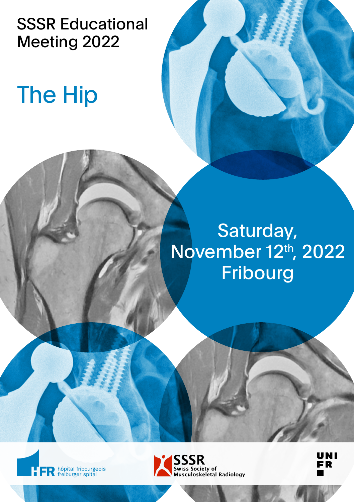SSSR Educational Meeting 2022

# The Hip

## Saturday, November 12th, 2022 Fribourg





UNI **FR**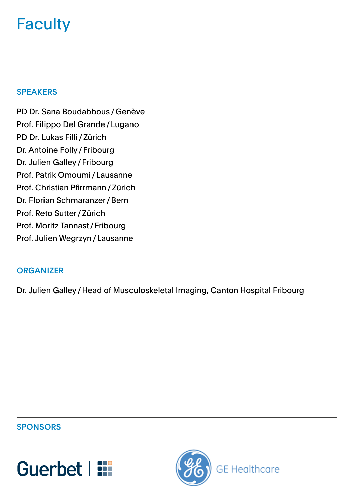### **Faculty**

#### **SPEAKERS**

PD Dr. Sana Boudabbous / Genève Prof. Filippo Del Grande / Lugano PD Dr. Lukas Filli / Zürich Dr. Antoine Folly / Fribourg Dr. Julien Galley / Fribourg Prof. Patrik Omoumi / Lausanne Prof. Christian Pfirrmann / Zürich Dr. Florian Schmaranzer / Bern Prof. Reto Sutter / Zürich Prof. Moritz Tannast / Fribourg Prof. Julien Wegrzyn / Lausanne

#### **ORGANIZER**

Dr. Julien Galley / Head of Musculoskeletal Imaging, Canton Hospital Fribourg

#### **SPONSORS**



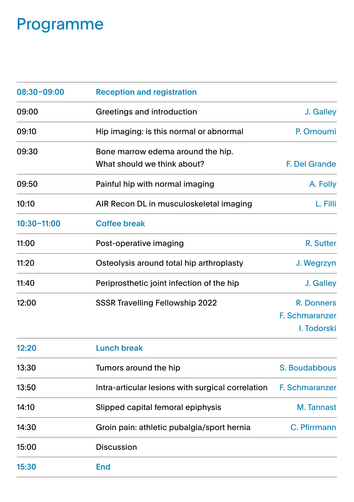### Programme

| 08:30-09:00     | <b>Reception and registration</b>                                |                                             |
|-----------------|------------------------------------------------------------------|---------------------------------------------|
| 09:00           | Greetings and introduction                                       | J. Galley                                   |
| 09:10           | Hip imaging: is this normal or abnormal                          | P. Omoumi                                   |
| 09:30           | Bone marrow edema around the hip.<br>What should we think about? | F. Del Grande                               |
| 09:50           | Painful hip with normal imaging                                  | A. Folly                                    |
| 10:10           | AIR Recon DL in musculoskeletal imaging                          | L. Filli                                    |
| $10:30 - 11:00$ | <b>Coffee break</b>                                              |                                             |
| 11:00           | Post-operative imaging                                           | R. Sutter                                   |
| 11:20           | Osteolysis around total hip arthroplasty                         | J. Wegrzyn                                  |
| 11:40           | Periprosthetic joint infection of the hip                        | J. Galley                                   |
| 12:00           | <b>SSSR Travelling Fellowship 2022</b>                           | R. Donners<br>F. Schmaranzer<br>I. Todorski |

| 12:20 | Lunch break                                       |                |
|-------|---------------------------------------------------|----------------|
| 13:30 | Tumors around the hip                             | S. Boudabbous  |
| 13:50 | Intra-articular lesions with surgical correlation | F. Schmaranzer |
| 14:10 | Slipped capital femoral epiphysis                 | M. Tannast     |
| 14:30 | Groin pain: athletic pubalgia/sport hernia        | C. Pfirrmann   |
| 15:00 | <b>Discussion</b>                                 |                |
| 15:30 | <b>End</b>                                        |                |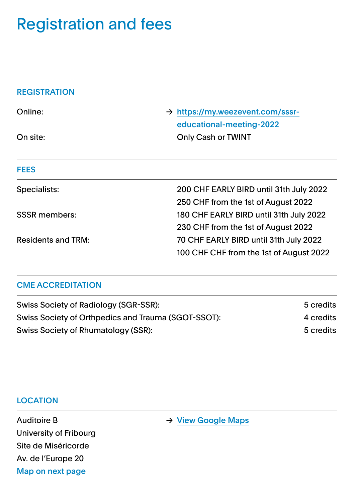### Registration and fees

| <b>REGISTRATION</b>  |                                                                                   |
|----------------------|-----------------------------------------------------------------------------------|
| Online:              | $\rightarrow$ https://my.weezevent.com/sssr-<br>educational-meeting-2022          |
| On site:             | Only Cash or TWINT                                                                |
| <b>FEES</b>          |                                                                                   |
| Specialists:         | 200 CHF EARLY BIRD until 31th July 2022<br>250 CHF from the 1st of August 2022    |
| <b>SSSR</b> members: | 180 CHF EARLY BIRD until 31th July 2022<br>230 CHF from the 1st of August 2022    |
| Residents and TRM:   | 70 CHF EARLY BIRD until 31th July 2022<br>100 CHF CHF from the 1st of August 2022 |

### CME ACCREDITATION

| Swiss Society of Radiology (SGR-SSR):               | 5 credits |
|-----------------------------------------------------|-----------|
| Swiss Society of Orthpedics and Trauma (SGOT-SSOT): | 4 credits |
| Swiss Society of Rhumatology (SSR):                 | 5 credits |

#### **LOCATION**

University of Fribourg Site de Miséricorde Av. de l'Europe 20 Map on next page

Auditoire B → [View Google Maps](https://www.google.com/maps/dir/Fribourg,+Gare+CFF,+Fribourg/46.805786,7.151759/@46.8055957,7.1514398,125m/data=!3m1!1e3!4m9!4m8!1m5!1m1!1s0x478e692c4f49ec9f:0xab25693f8d5f3749!2m2!1d7.151587!2d46.802972!1m0!3e2)